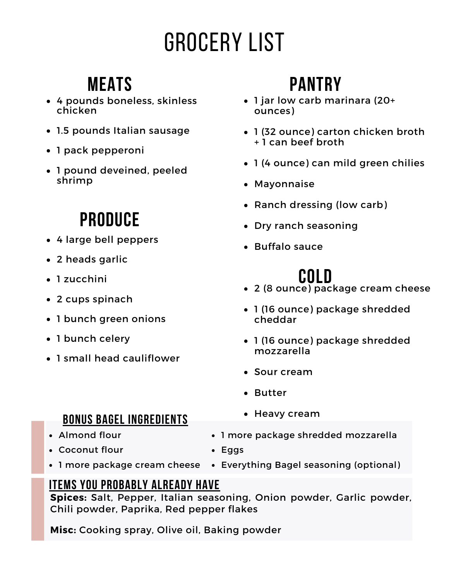# Grocery List

#### **Meats**

- 4 pounds boneless, skinless chicken
- 1.5 pounds Italian sausage
- 1 pack pepperoni
- 1 pound deveined, peeled shrimp

### **Produce**

- 4 large bell peppers
- 2 heads garlic
- 1 zucchini
- 2 cups spinach
- 1 bunch green onions
- 1 bunch celery
- 1 small head cauliflower

## **Pantry**

- 1 jar low carb marinara (20+ ounces)
- 1 (32 ounce) carton chicken broth + 1 can beef broth
- 1 (4 ounce) can mild green chilies
- Mayonnaise
- Ranch dressing (low carb)
- Dry ranch seasoning
- Buffalo sauce

### **Cold**

- 2 (8 ounce) package cream cheese
- 1 (16 ounce) package shredded cheddar
- 1 (16 ounce) package shredded mozzarella
- Sour cream

• Heavy cream

- Butter
- **Bonus bagel ingredients**
- Almond flour
- Coconut flour
- 1 more package shredded mozzarella
- Eggs
- 1 more package cream cheese Everything Bagel seasoning (optional)

#### **Items you probably already have**

**Spices:** Salt, Pepper, Italian seasoning, Onion powder, Garlic powder, Chili powder, Paprika, Red pepper flakes

**Misc:** Cooking spray, Olive oil, Baking powder